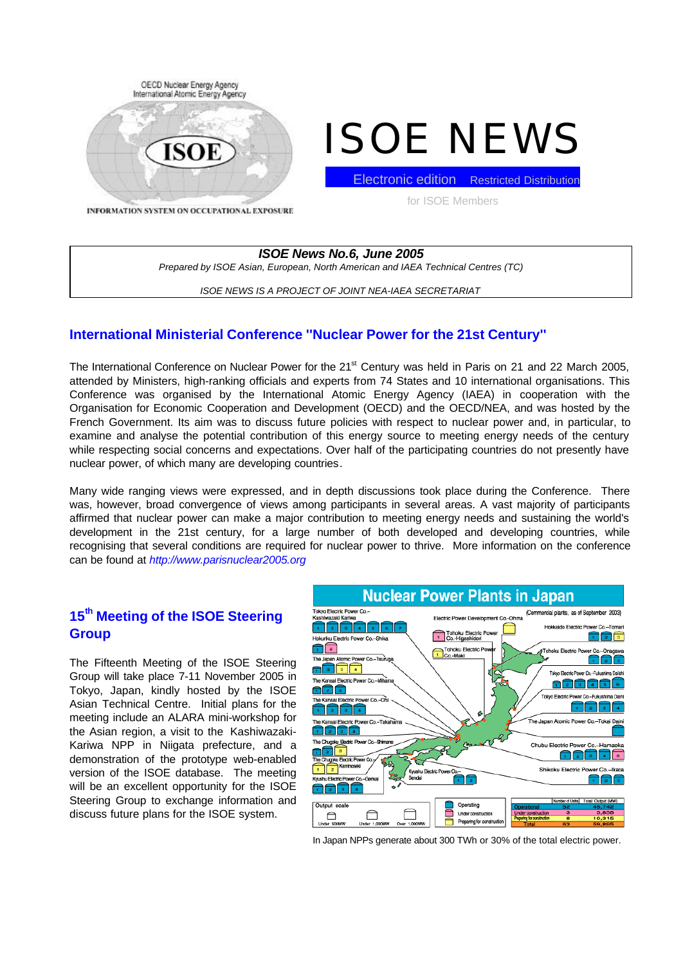

# ISOE NEWS

Electronic edition Restricted Distribution

for ISOE Members

INFORMATION SYSTEM ON OCCUPATIONAL EXPOSURE

*ISOE News No.6, June 2005 Prepared by ISOE Asian, European, North American and IAEA Technical Centres (TC)*

*ISOE NEWS IS A PROJECT OF JOINT NEA-IAEA SECRETARIAT*

# **International Ministerial Conference ''Nuclear Power for the 21st Century''**

The International Conference on Nuclear Power for the 21<sup>st</sup> Century was held in Paris on 21 and 22 March 2005, attended by Ministers, high-ranking officials and experts from 74 States and 10 international organisations. This Conference was organised by the International Atomic Energy Agency (IAEA) in cooperation with the Organisation for Economic Cooperation and Development (OECD) and the OECD/NEA, and was hosted by the French Government. Its aim was to discuss future policies with respect to nuclear power and, in particular, to examine and analyse the potential contribution of this energy source to meeting energy needs of the century while respecting social concerns and expectations. Over half of the participating countries do not presently have nuclear power, of which many are developing countries.

Many wide ranging views were expressed, and in depth discussions took place during the Conference. There was, however, broad convergence of views among participants in several areas. A vast majority of participants affirmed that nuclear power can make a major contribution to meeting energy needs and sustaining the world's development in the 21st century, for a large number of both developed and developing countries, while recognising that several conditions are required for nuclear power to thrive. More information on the conference can be found at *http://www.parisnuclear2005.org*

# **15th Meeting of the ISOE Steering Group**

The Fifteenth Meeting of the ISOE Steering Group will take place 7-11 November 2005 in Tokyo, Japan, kindly hosted by the ISOE Asian Technical Centre. Initial plans for the meeting include an ALARA mini-workshop for the Asian region, a visit to the Kashiwazaki-Kariwa NPP in Niigata prefecture, and a demonstration of the prototype web-enabled version of the ISOE database. The meeting will be an excellent opportunity for the ISOE Steering Group to exchange information and discuss future plans for the ISOE system.



In Japan NPPs generate about 300 TWh or 30% of the total electric power.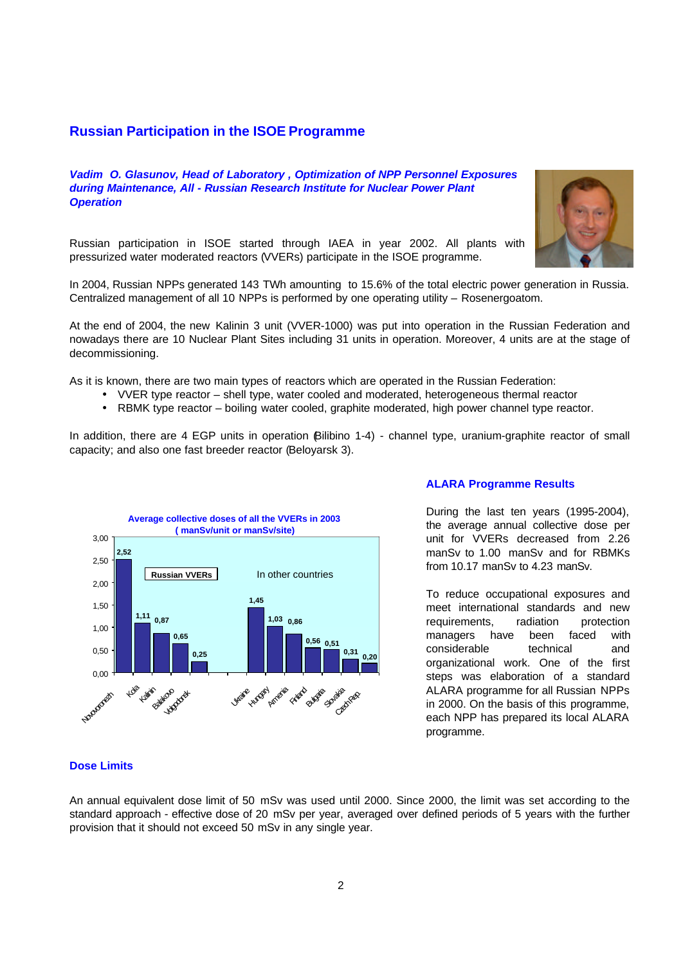## **Russian Participation in the ISOE Programme**

*Vadim O. Glasunov, Head of Laboratory , Optimization of NPP Personnel Exposures during Maintenance, All - Russian Research Institute for Nuclear Power Plant Operation*



Russian participation in ISOE started through IAEA in year 2002. All plants with pressurized water moderated reactors (VVERs) participate in the ISOE programme.

In 2004, Russian NPPs generated 143 TWh amounting to 15.6% of the total electric power generation in Russia. Centralized management of all 10 NPPs is performed by one operating utility – Rosenergoatom.

At the end of 2004, the new Kalinin 3 unit (VVER-1000) was put into operation in the Russian Federation and nowadays there are 10 Nuclear Plant Sites including 31 units in operation. Moreover, 4 units are at the stage of decommissioning.

As it is known, there are two main types of reactors which are operated in the Russian Federation:

- VVER type reactor shell type, water cooled and moderated, heterogeneous thermal reactor
- RBMK type reactor boiling water cooled, graphite moderated, high power channel type reactor.

In addition, there are 4 EGP units in operation Bilibino 1-4) - channel type, uranium-graphite reactor of small capacity; and also one fast breeder reactor (Beloyarsk 3).



## **ALARA Programme Results**

During the last ten years (1995-2004), the average annual collective dose per unit for VVERs decreased from 2.26 manSv to 1.00 manSv and for RBMKs from 10.17 manSv to 4.23 manSv.

To reduce occupational exposures and meet international standards and new requirements, radiation protection managers have been faced with considerable technical and organizational work. One of the first steps was elaboration of a standard ALARA programme for all Russian NPPs in 2000. On the basis of this programme, each NPP has prepared its local ALARA programme.

## **Dose Limits**

An annual equivalent dose limit of 50 mSv was used until 2000. Since 2000, the limit was set according to the standard approach - effective dose of 20 mSv per year, averaged over defined periods of 5 years with the further provision that it should not exceed 50 mSv in any single year.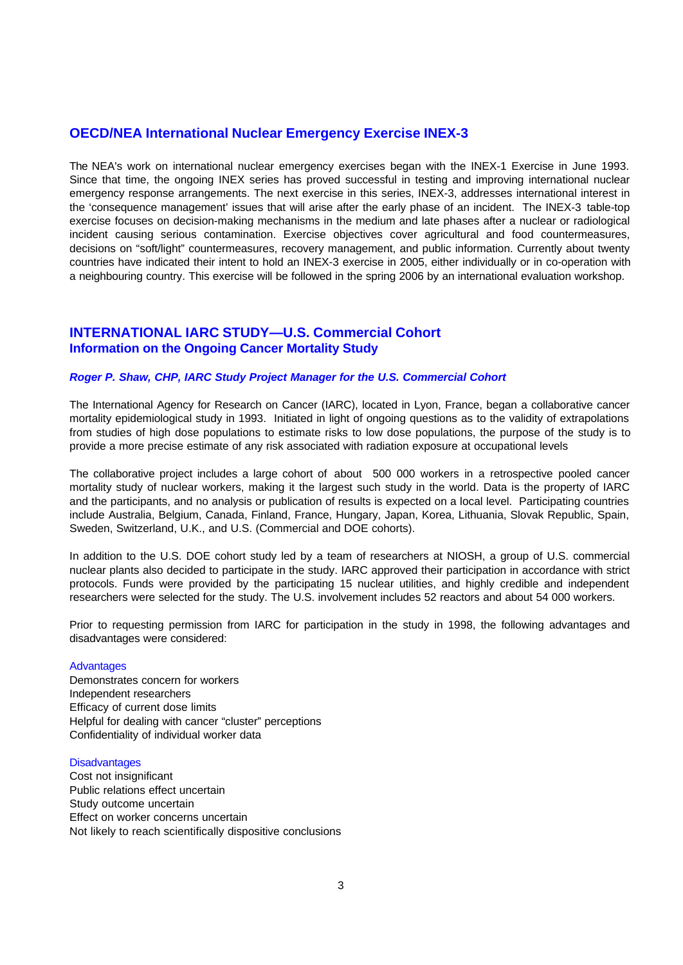# **OECD/NEA International Nuclear Emergency Exercise INEX-3**

The NEA's work on international nuclear emergency exercises began with the INEX-1 Exercise in June 1993. Since that time, the ongoing INEX series has proved successful in testing and improving international nuclear emergency response arrangements. The next exercise in this series, INEX-3, addresses international interest in the 'consequence management' issues that will arise after the early phase of an incident. The INEX-3 table-top exercise focuses on decision-making mechanisms in the medium and late phases after a nuclear or radiological incident causing serious contamination. Exercise objectives cover agricultural and food countermeasures, decisions on "soft/light" countermeasures, recovery management, and public information. Currently about twenty countries have indicated their intent to hold an INEX-3 exercise in 2005, either individually or in co-operation with a neighbouring country. This exercise will be followed in the spring 2006 by an international evaluation workshop.

# **INTERNATIONAL IARC STUDY—U.S. Commercial Cohort Information on the Ongoing Cancer Mortality Study**

#### *Roger P. Shaw, CHP, IARC Study Project Manager for the U.S. Commercial Cohort*

The International Agency for Research on Cancer (IARC), located in Lyon, France, began a collaborative cancer mortality epidemiological study in 1993. Initiated in light of ongoing questions as to the validity of extrapolations from studies of high dose populations to estimate risks to low dose populations, the purpose of the study is to provide a more precise estimate of any risk associated with radiation exposure at occupational levels

The collaborative project includes a large cohort of about 500 000 workers in a retrospective pooled cancer mortality study of nuclear workers, making it the largest such study in the world. Data is the property of IARC and the participants, and no analysis or publication of results is expected on a local level. Participating countries include Australia, Belgium, Canada, Finland, France, Hungary, Japan, Korea, Lithuania, Slovak Republic, Spain, Sweden, Switzerland, U.K., and U.S. (Commercial and DOE cohorts).

In addition to the U.S. DOE cohort study led by a team of researchers at NIOSH, a group of U.S. commercial nuclear plants also decided to participate in the study. IARC approved their participation in accordance with strict protocols. Funds were provided by the participating 15 nuclear utilities, and highly credible and independent researchers were selected for the study. The U.S. involvement includes 52 reactors and about 54 000 workers.

Prior to requesting permission from IARC for participation in the study in 1998, the following advantages and disadvantages were considered:

#### **Advantages**

Demonstrates concern for workers Independent researchers Efficacy of current dose limits Helpful for dealing with cancer "cluster" perceptions Confidentiality of individual worker data

#### **Disadvantages**

Cost not insignificant Public relations effect uncertain Study outcome uncertain Effect on worker concerns uncertain Not likely to reach scientifically dispositive conclusions